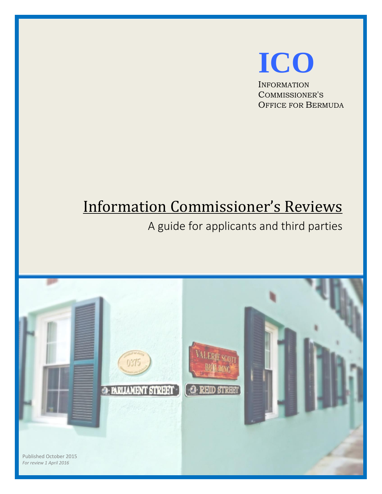

# Information Commissioner's Reviews

## A guide for applicants and third parties

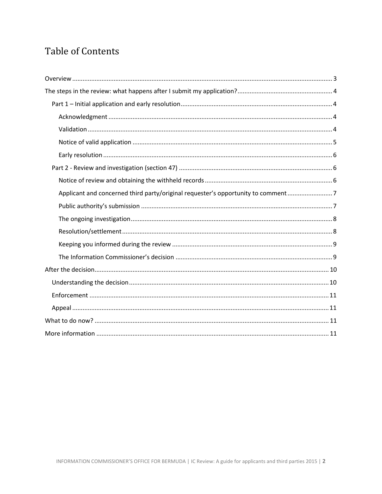## **Table of Contents**

| Applicant and concerned third party/original requester's opportunity to comment |
|---------------------------------------------------------------------------------|
|                                                                                 |
|                                                                                 |
|                                                                                 |
|                                                                                 |
|                                                                                 |
|                                                                                 |
|                                                                                 |
|                                                                                 |
|                                                                                 |
|                                                                                 |
|                                                                                 |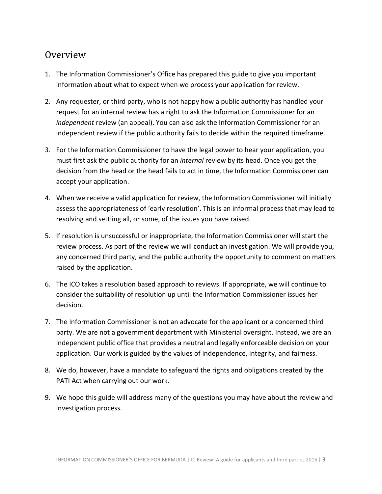### <span id="page-2-0"></span>Overview

- 1. The Information Commissioner's Office has prepared this guide to give you important information about what to expect when we process your application for review.
- 2. Any requester, or third party, who is not happy how a public authority has handled your request for an internal review has a right to ask the Information Commissioner for an *independent* review (an appeal). You can also ask the Information Commissioner for an independent review if the public authority fails to decide within the required timeframe.
- 3. For the Information Commissioner to have the legal power to hear your application, you must first ask the public authority for an *internal* review by its head. Once you get the decision from the head or the head fails to act in time, the Information Commissioner can accept your application.
- 4. When we receive a valid application for review, the Information Commissioner will initially assess the appropriateness of 'early resolution'. This is an informal process that may lead to resolving and settling all, or some, of the issues you have raised.
- 5. If resolution is unsuccessful or inappropriate, the Information Commissioner will start the review process. As part of the review we will conduct an investigation. We will provide you, any concerned third party, and the public authority the opportunity to comment on matters raised by the application.
- 6. The ICO takes a resolution based approach to reviews. If appropriate, we will continue to consider the suitability of resolution up until the Information Commissioner issues her decision.
- 7. The Information Commissioner is not an advocate for the applicant or a concerned third party. We are not a government department with Ministerial oversight. Instead, we are an independent public office that provides a neutral and legally enforceable decision on your application. Our work is guided by the values of independence, integrity, and fairness.
- 8. We do, however, have a mandate to safeguard the rights and obligations created by the PATI Act when carrying out our work.
- 9. We hope this guide will address many of the questions you may have about the review and investigation process.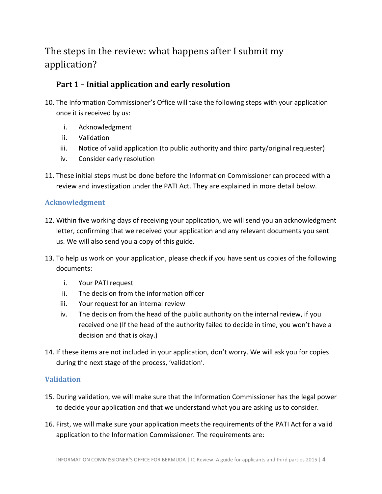## <span id="page-3-0"></span>The steps in the review: what happens after I submit my application?

#### <span id="page-3-1"></span>**Part 1 – Initial application and early resolution**

- 10. The Information Commissioner's Office will take the following steps with your application once it is received by us:
	- i. Acknowledgment
	- ii. Validation
	- iii. Notice of valid application (to public authority and third party/original requester)
	- iv. Consider early resolution
- 11. These initial steps must be done before the Information Commissioner can proceed with a review and investigation under the PATI Act. They are explained in more detail below.

#### <span id="page-3-2"></span>**Acknowledgment**

- 12. Within five working days of receiving your application, we will send you an acknowledgment letter, confirming that we received your application and any relevant documents you sent us. We will also send you a copy of this guide.
- 13. To help us work on your application, please check if you have sent us copies of the following documents:
	- i. Your PATI request
	- ii. The decision from the information officer
	- iii. Your request for an internal review
	- iv. The decision from the head of the public authority on the internal review, if you received one (If the head of the authority failed to decide in time, you won't have a decision and that is okay.)
- 14. If these items are not included in your application, don't worry. We will ask you for copies during the next stage of the process, 'validation'.

#### <span id="page-3-3"></span>**Validation**

- 15. During validation, we will make sure that the Information Commissioner has the legal power to decide your application and that we understand what you are asking us to consider.
- 16. First, we will make sure your application meets the requirements of the PATI Act for a valid application to the Information Commissioner. The requirements are: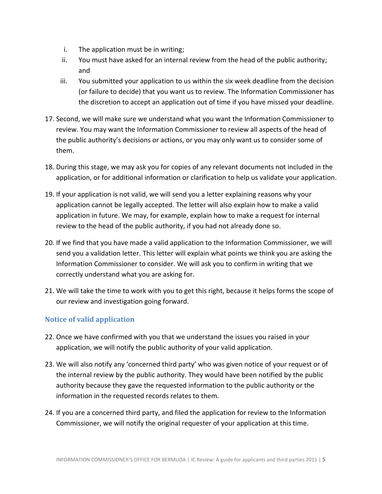- i. The application must be in writing;
- ii. You must have asked for an internal review from the head of the public authority; and
- iii. You submitted your application to us within the six week deadline from the decision (or failure to decide) that you want us to review. The Information Commissioner has the discretion to accept an application out of time if you have missed your deadline.
- 17. Second, we will make sure we understand what you want the Information Commissioner to review. You may want the Information Commissioner to review all aspects of the head of the public authority's decisions or actions, or you may only want us to consider some of them.
- 18. During this stage, we may ask you for copies of any relevant documents not included in the application, or for additional information or clarification to help us validate your application.
- 19. If your application is not valid, we will send you a letter explaining reasons why your application cannot be legally accepted. The letter will also explain how to make a valid application in future. We may, for example, explain how to make a request for internal review to the head of the public authority, if you had not already done so.
- 20. If we find that you have made a valid application to the Information Commissioner, we will send you a validation letter. This letter will explain what points we think you are asking the Information Commissioner to consider. We will ask you to confirm in writing that we correctly understand what you are asking for.
- 21. We will take the time to work with you to get this right, because it helps forms the scope of our review and investigation going forward.

#### <span id="page-4-0"></span>**Notice of valid application**

- 22. Once we have confirmed with you that we understand the issues you raised in your application, we will notify the public authority of your valid application.
- 23. We will also notify any 'concerned third party' who was given notice of your request or of the internal review by the public authority. They would have been notified by the public authority because they gave the requested information to the public authority or the information in the requested records relates to them.
- 24. If you are a concerned third party, and filed the application for review to the Information Commissioner, we will notify the original requester of your application at this time.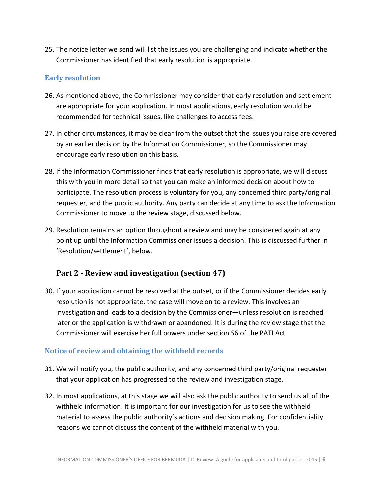25. The notice letter we send will list the issues you are challenging and indicate whether the Commissioner has identified that early resolution is appropriate.

#### <span id="page-5-0"></span>**Early resolution**

- 26. As mentioned above, the Commissioner may consider that early resolution and settlement are appropriate for your application. In most applications, early resolution would be recommended for technical issues, like challenges to access fees.
- 27. In other circumstances, it may be clear from the outset that the issues you raise are covered by an earlier decision by the Information Commissioner, so the Commissioner may encourage early resolution on this basis.
- 28. If the Information Commissioner finds that early resolution is appropriate, we will discuss this with you in more detail so that you can make an informed decision about how to participate. The resolution process is voluntary for you, any concerned third party/original requester, and the public authority. Any party can decide at any time to ask the Information Commissioner to move to the review stage, discussed below.
- 29. Resolution remains an option throughout a review and may be considered again at any point up until the Information Commissioner issues a decision. This is discussed further in 'Resolution/settlement', below.

### <span id="page-5-1"></span>**Part 2 - Review and investigation (section 47)**

30. If your application cannot be resolved at the outset, or if the Commissioner decides early resolution is not appropriate, the case will move on to a review. This involves an investigation and leads to a decision by the Commissioner—unless resolution is reached later or the application is withdrawn or abandoned. It is during the review stage that the Commissioner will exercise her full powers under section 56 of the PATI Act.

#### <span id="page-5-2"></span>**Notice of review and obtaining the withheld records**

- 31. We will notify you, the public authority, and any concerned third party/original requester that your application has progressed to the review and investigation stage.
- 32. In most applications, at this stage we will also ask the public authority to send us all of the withheld information. It is important for our investigation for us to see the withheld material to assess the public authority's actions and decision making. For confidentiality reasons we cannot discuss the content of the withheld material with you.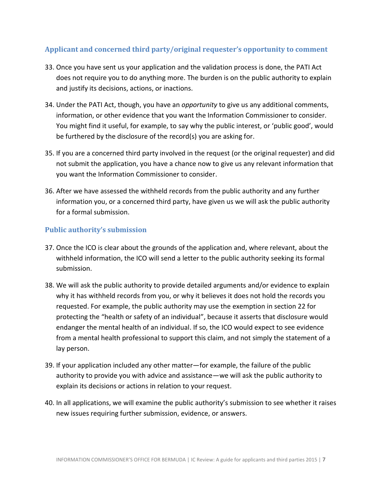#### <span id="page-6-0"></span>**Applicant and concerned third party/original requester's opportunity to comment**

- 33. Once you have sent us your application and the validation process is done, the PATI Act does not require you to do anything more. The burden is on the public authority to explain and justify its decisions, actions, or inactions.
- 34. Under the PATI Act, though, you have an *opportunity* to give us any additional comments, information, or other evidence that you want the Information Commissioner to consider. You might find it useful, for example, to say why the public interest, or 'public good', would be furthered by the disclosure of the record(s) you are asking for.
- 35. If you are a concerned third party involved in the request (or the original requester) and did not submit the application, you have a chance now to give us any relevant information that you want the Information Commissioner to consider.
- 36. After we have assessed the withheld records from the public authority and any further information you, or a concerned third party, have given us we will ask the public authority for a formal submission.

#### <span id="page-6-1"></span>**Public authority's submission**

- 37. Once the ICO is clear about the grounds of the application and, where relevant, about the withheld information, the ICO will send a letter to the public authority seeking its formal submission.
- 38. We will ask the public authority to provide detailed arguments and/or evidence to explain why it has withheld records from you, or why it believes it does not hold the records you requested. For example, the public authority may use the exemption in section 22 for protecting the "health or safety of an individual", because it asserts that disclosure would endanger the mental health of an individual. If so, the ICO would expect to see evidence from a mental health professional to support this claim, and not simply the statement of a lay person.
- 39. If your application included any other matter—for example, the failure of the public authority to provide you with advice and assistance—we will ask the public authority to explain its decisions or actions in relation to your request.
- 40. In all applications, we will examine the public authority's submission to see whether it raises new issues requiring further submission, evidence, or answers.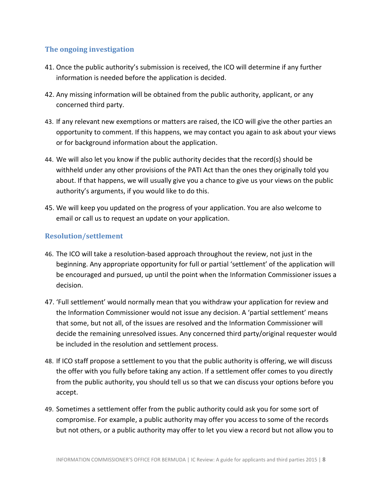#### <span id="page-7-0"></span>**The ongoing investigation**

- 41. Once the public authority's submission is received, the ICO will determine if any further information is needed before the application is decided.
- 42. Any missing information will be obtained from the public authority, applicant, or any concerned third party.
- 43. If any relevant new exemptions or matters are raised, the ICO will give the other parties an opportunity to comment. If this happens, we may contact you again to ask about your views or for background information about the application.
- 44. We will also let you know if the public authority decides that the record(s) should be withheld under any other provisions of the PATI Act than the ones they originally told you about. If that happens, we will usually give you a chance to give us your views on the public authority's arguments, if you would like to do this.
- 45. We will keep you updated on the progress of your application. You are also welcome to email or call us to request an update on your application.

#### <span id="page-7-1"></span>**Resolution/settlement**

- 46. The ICO will take a resolution-based approach throughout the review, not just in the beginning. Any appropriate opportunity for full or partial 'settlement' of the application will be encouraged and pursued, up until the point when the Information Commissioner issues a decision.
- 47. 'Full settlement' would normally mean that you withdraw your application for review and the Information Commissioner would not issue any decision. A 'partial settlement' means that some, but not all, of the issues are resolved and the Information Commissioner will decide the remaining unresolved issues. Any concerned third party/original requester would be included in the resolution and settlement process.
- 48. If ICO staff propose a settlement to you that the public authority is offering, we will discuss the offer with you fully before taking any action. If a settlement offer comes to you directly from the public authority, you should tell us so that we can discuss your options before you accept.
- 49. Sometimes a settlement offer from the public authority could ask you for some sort of compromise. For example, a public authority may offer you access to some of the records but not others, or a public authority may offer to let you view a record but not allow you to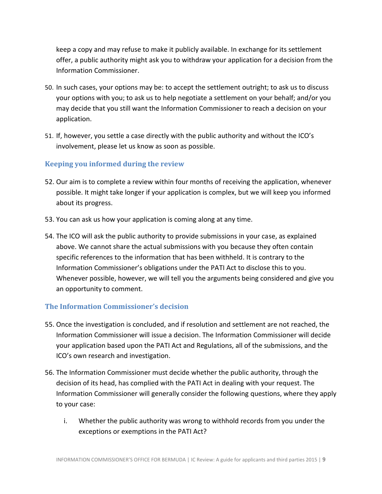keep a copy and may refuse to make it publicly available. In exchange for its settlement offer, a public authority might ask you to withdraw your application for a decision from the Information Commissioner.

- 50. In such cases, your options may be: to accept the settlement outright; to ask us to discuss your options with you; to ask us to help negotiate a settlement on your behalf; and/or you may decide that you still want the Information Commissioner to reach a decision on your application.
- 51. If, however, you settle a case directly with the public authority and without the ICO's involvement, please let us know as soon as possible.

#### <span id="page-8-0"></span>**Keeping you informed during the review**

- 52. Our aim is to complete a review within four months of receiving the application, whenever possible. It might take longer if your application is complex, but we will keep you informed about its progress.
- 53. You can ask us how your application is coming along at any time.
- 54. The ICO will ask the public authority to provide submissions in your case, as explained above. We cannot share the actual submissions with you because they often contain specific references to the information that has been withheld. It is contrary to the Information Commissioner's obligations under the PATI Act to disclose this to you. Whenever possible, however, we will tell you the arguments being considered and give you an opportunity to comment.

#### <span id="page-8-1"></span>**The Information Commissioner's decision**

- 55. Once the investigation is concluded, and if resolution and settlement are not reached, the Information Commissioner will issue a decision. The Information Commissioner will decide your application based upon the PATI Act and Regulations, all of the submissions, and the ICO's own research and investigation.
- 56. The Information Commissioner must decide whether the public authority, through the decision of its head, has complied with the PATI Act in dealing with your request. The Information Commissioner will generally consider the following questions, where they apply to your case:
	- i. Whether the public authority was wrong to withhold records from you under the exceptions or exemptions in the PATI Act?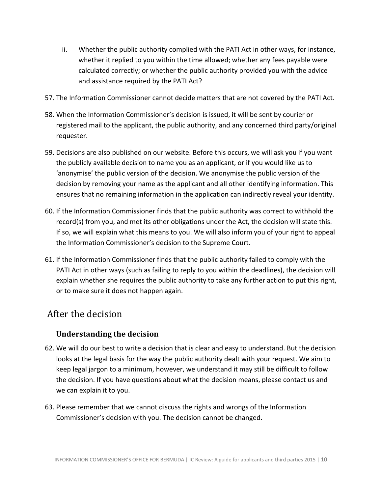- ii. Whether the public authority complied with the PATI Act in other ways, for instance, whether it replied to you within the time allowed; whether any fees payable were calculated correctly; or whether the public authority provided you with the advice and assistance required by the PATI Act?
- 57. The Information Commissioner cannot decide matters that are not covered by the PATI Act.
- 58. When the Information Commissioner's decision is issued, it will be sent by courier or registered mail to the applicant, the public authority, and any concerned third party/original requester.
- 59. Decisions are also published on our website. Before this occurs, we will ask you if you want the publicly available decision to name you as an applicant, or if you would like us to 'anonymise' the public version of the decision. We anonymise the public version of the decision by removing your name as the applicant and all other identifying information. This ensures that no remaining information in the application can indirectly reveal your identity.
- 60. If the Information Commissioner finds that the public authority was correct to withhold the record(s) from you, and met its other obligations under the Act, the decision will state this. If so, we will explain what this means to you. We will also inform you of your right to appeal the Information Commissioner's decision to the Supreme Court.
- 61. If the Information Commissioner finds that the public authority failed to comply with the PATI Act in other ways (such as failing to reply to you within the deadlines), the decision will explain whether she requires the public authority to take any further action to put this right, or to make sure it does not happen again.

## <span id="page-9-0"></span>After the decision

#### <span id="page-9-1"></span>**Understanding the decision**

- 62. We will do our best to write a decision that is clear and easy to understand. But the decision looks at the legal basis for the way the public authority dealt with your request. We aim to keep legal jargon to a minimum, however, we understand it may still be difficult to follow the decision. If you have questions about what the decision means, please contact us and we can explain it to you.
- 63. Please remember that we cannot discuss the rights and wrongs of the Information Commissioner's decision with you. The decision cannot be changed.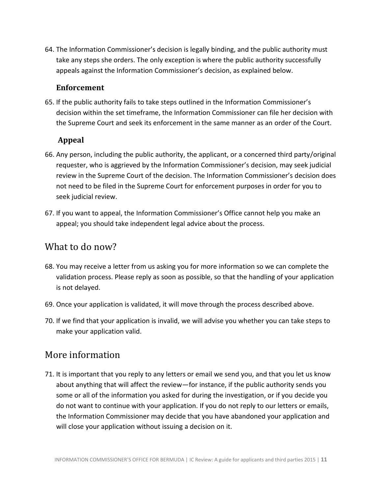64. The Information Commissioner's decision is legally binding, and the public authority must take any steps she orders. The only exception is where the public authority successfully appeals against the Information Commissioner's decision, as explained below.

#### <span id="page-10-0"></span>**Enforcement**

65. If the public authority fails to take steps outlined in the Information Commissioner's decision within the set timeframe, the Information Commissioner can file her decision with the Supreme Court and seek its enforcement in the same manner as an order of the Court.

#### <span id="page-10-1"></span>**Appeal**

- 66. Any person, including the public authority, the applicant, or a concerned third party/original requester, who is aggrieved by the Information Commissioner's decision, may seek judicial review in the Supreme Court of the decision. The Information Commissioner's decision does not need to be filed in the Supreme Court for enforcement purposes in order for you to seek judicial review.
- 67. If you want to appeal, the Information Commissioner's Office cannot help you make an appeal; you should take independent legal advice about the process.

### <span id="page-10-2"></span>What to do now?

- 68. You may receive a letter from us asking you for more information so we can complete the validation process. Please reply as soon as possible, so that the handling of your application is not delayed.
- 69. Once your application is validated, it will move through the process described above.
- 70. If we find that your application is invalid, we will advise you whether you can take steps to make your application valid.

## <span id="page-10-3"></span>More information

71. It is important that you reply to any letters or email we send you, and that you let us know about anything that will affect the review—for instance, if the public authority sends you some or all of the information you asked for during the investigation, or if you decide you do not want to continue with your application. If you do not reply to our letters or emails, the Information Commissioner may decide that you have abandoned your application and will close your application without issuing a decision on it.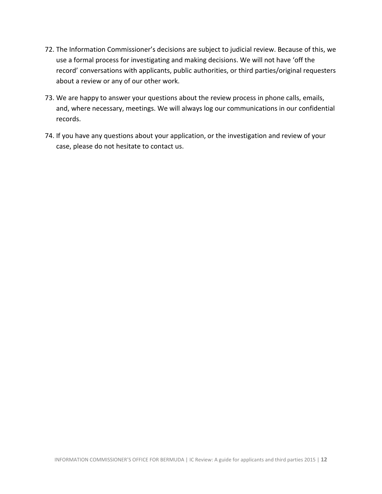- 72. The Information Commissioner's decisions are subject to judicial review. Because of this, we use a formal process for investigating and making decisions. We will not have 'off the record' conversations with applicants, public authorities, or third parties/original requesters about a review or any of our other work.
- 73. We are happy to answer your questions about the review process in phone calls, emails, and, where necessary, meetings. We will always log our communications in our confidential records.
- 74. If you have any questions about your application, or the investigation and review of your case, please do not hesitate to contact us.